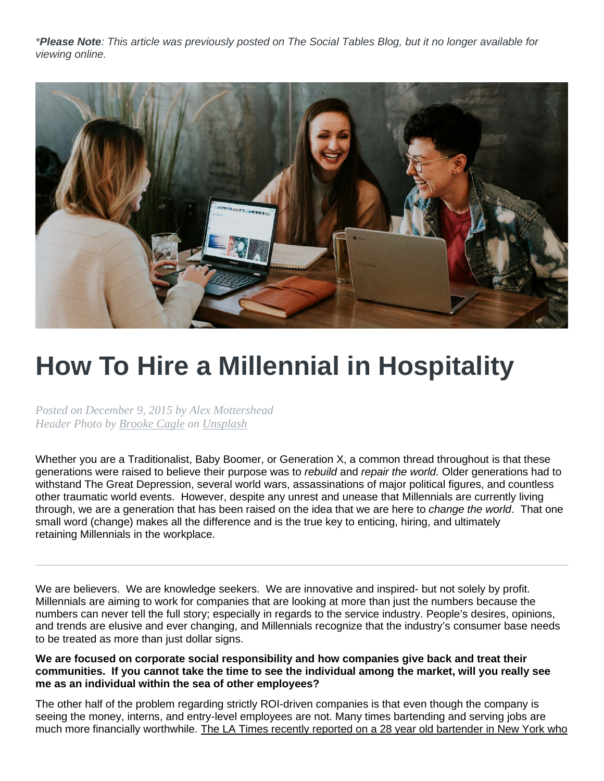*\*Please Note: This article was previously posted on The Social Tables Blog, but it no longer available for viewing online.*



## **How To Hire a Millennial in Hospitality**

*Posted on December 9, 2015 by Alex Mottershead Header Photo by [Brooke Cagle](https://unsplash.com/@brookecagle?utm_source=unsplash&utm_medium=referral&utm_content=creditCopyText) on [Unsplash](https://unsplash.com/s/photos/millenials?utm_source=unsplash&utm_medium=referral&utm_content=creditCopyText)*

Whether you are a Traditionalist, Baby Boomer, or Generation X, a common thread throughout is that these generations were raised to believe their purpose was to *rebuild* and *repair the world.* Older generations had to withstand The Great Depression, several world wars, assassinations of major political figures, and countless other traumatic world events. However, despite any unrest and unease that Millennials are currently living through, we are a generation that has been raised on the idea that we are here to *change the world*. That one small word (change) makes all the difference and is the true key to enticing, hiring, and ultimately retaining [Millennials in the workplace.](http://blog.socialtables.com/2015/11/16/this-group-will-be-the-primary-force-behind-change-at-properties-in-2016/)

We are believers. We are knowledge seekers. We are innovative and inspired- but not solely by profit. Millennials are aiming to work for companies that are looking at more than just the numbers because the numbers can never tell the full story; especially in regards to the service industry. People's desires, opinions, and trends are elusive and ever changing, and [Millennials recognize that the industry's consumer base](http://blog.socialtables.com/2015/10/29/inclusion-in-the-process-what-millennials-want-from-meetings-and-events/) needs to be treated as more than just dollar signs.

**We are focused on corporate social responsibility and how companies give back and treat their communities. If you cannot take the time to see the individual among the market, will you really see me as an individual within the sea of other employees?**

The other half of the problem regarding strictly ROI-driven companies is that even though the company is seeing the money, interns, and entry-level employees are not. Many times bartending and serving jobs are much more financially worthwhile. [The LA Times recently reported on a 28 year old bartender in New York who](http://www.latimes.com/business/la-fi-college-grads-20130920-story.html)